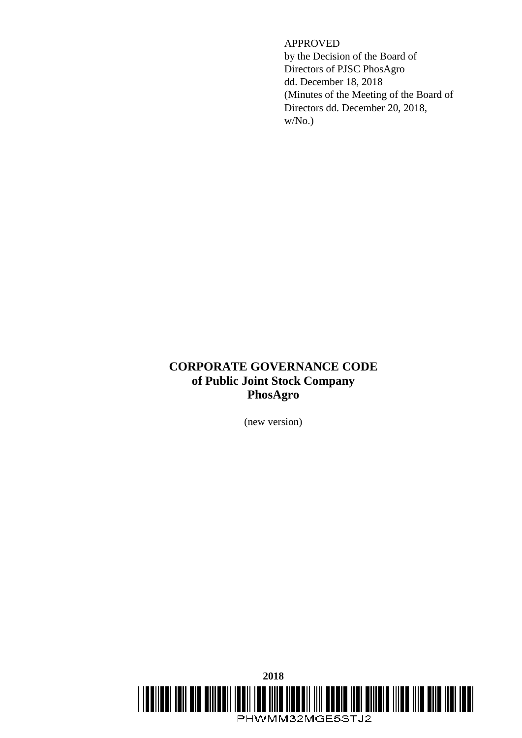# APPROVED

by the Decision of the Board of Directors of PJSC PhosAgro dd. December 18, 2018 (Minutes of the Meeting of the Board of Directors dd. December 20, 2018, w/No.)

# **CORPORATE GOVERNANCE CODE of Public Joint Stock Company PhosAgro**

(new version)

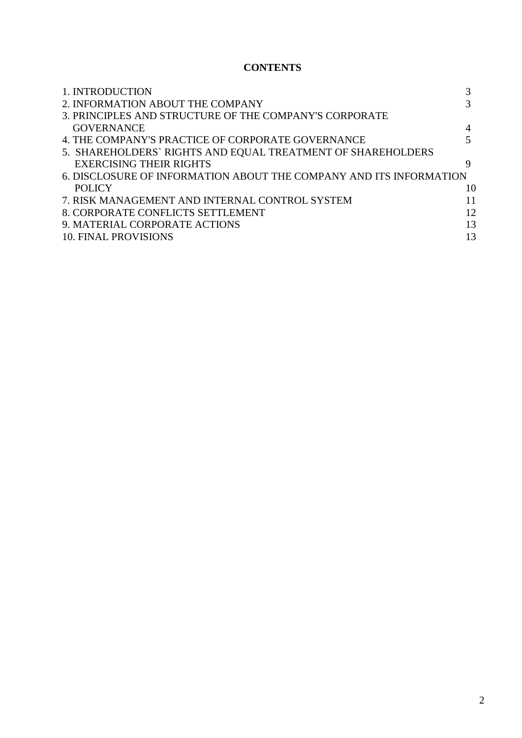# **CONTENTS**

| 1. INTRODUCTION                                                    |    |
|--------------------------------------------------------------------|----|
| 2. INFORMATION ABOUT THE COMPANY                                   | 3  |
| 3. PRINCIPLES AND STRUCTURE OF THE COMPANY'S CORPORATE             |    |
| <b>GOVERNANCE</b>                                                  |    |
| 4. THE COMPANY'S PRACTICE OF CORPORATE GOVERNANCE                  |    |
| 5. SHAREHOLDERS` RIGHTS AND EQUAL TREATMENT OF SHAREHOLDERS        |    |
| <b>EXERCISING THEIR RIGHTS</b>                                     | 9  |
| 6. DISCLOSURE OF INFORMATION ABOUT THE COMPANY AND ITS INFORMATION |    |
| <b>POLICY</b>                                                      | 10 |
| 7. RISK MANAGEMENT AND INTERNAL CONTROL SYSTEM                     | 11 |
| 8. CORPORATE CONFLICTS SETTLEMENT                                  | 12 |
| 9. MATERIAL CORPORATE ACTIONS                                      | 13 |
| <b>10. FINAL PROVISIONS</b>                                        | 13 |
|                                                                    |    |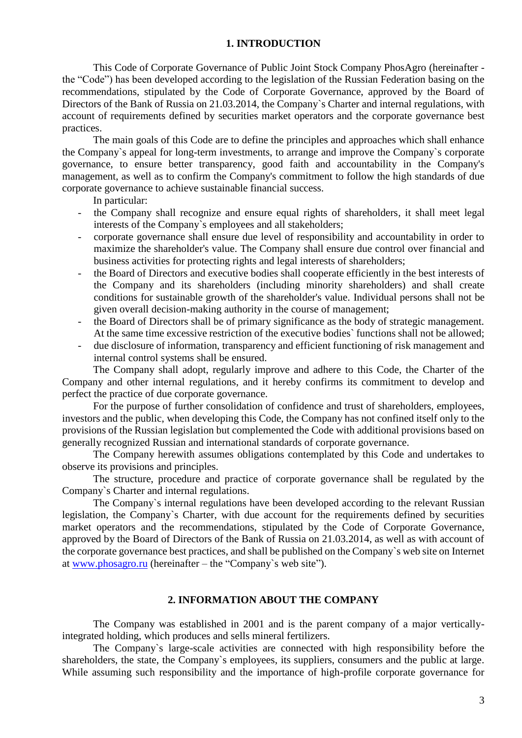#### **1. INTRODUCTION**

This Code of Corporate Governance of Public Joint Stock Company PhosAgro (hereinafter the "Code") has been developed according to the legislation of the Russian Federation basing on the recommendations, stipulated by the Code of Corporate Governance, approved by the Board of Directors of the Bank of Russia on 21.03.2014, the Company`s Charter and internal regulations, with account of requirements defined by securities market operators and the corporate governance best practices.

The main goals of this Code are to define the principles and approaches which shall enhance the Company`s appeal for long-term investments, to arrange and improve the Company`s corporate governance, to ensure better transparency, good faith and accountability in the Company's management, as well as to confirm the Company's commitment to follow the high standards of due corporate governance to achieve sustainable financial success.

In particular:

- the Company shall recognize and ensure equal rights of shareholders, it shall meet legal interests of the Company`s employees and all stakeholders;
- corporate governance shall ensure due level of responsibility and accountability in order to maximize the shareholder's value. The Company shall ensure due control over financial and business activities for protecting rights and legal interests of shareholders;
- the Board of Directors and executive bodies shall cooperate efficiently in the best interests of the Company and its shareholders (including minority shareholders) and shall create conditions for sustainable growth of the shareholder's value. Individual persons shall not be given overall decision-making authority in the course of management;
- the Board of Directors shall be of primary significance as the body of strategic management. At the same time excessive restriction of the executive bodies` functions shall not be allowed;
- due disclosure of information, transparency and efficient functioning of risk management and internal control systems shall be ensured.

The Company shall adopt, regularly improve and adhere to this Code, the Charter of the Company and other internal regulations, and it hereby confirms its commitment to develop and perfect the practice of due corporate governance.

For the purpose of further consolidation of confidence and trust of shareholders, employees, investors and the public, when developing this Code, the Company has not confined itself only to the provisions of the Russian legislation but complemented the Code with additional provisions based on generally recognized Russian and international standards of corporate governance.

The Company herewith assumes obligations contemplated by this Code and undertakes to observe its provisions and principles.

The structure, procedure and practice of corporate governance shall be regulated by the Company`s Charter and internal regulations.

The Company`s internal regulations have been developed according to the relevant Russian legislation, the Company`s Charter, with due account for the requirements defined by securities market operators and the recommendations, stipulated by the Code of Corporate Governance, approved by the Board of Directors of the Bank of Russia on 21.03.2014, as well as with account of the corporate governance best practices, and shall be published on the Company`s web site on Internet at [www.phosagro.ru](http://www.phosagro.ru/) (hereinafter – the "Company`s web site").

# **2. INFORMATION ABOUT THE COMPANY**

The Company was established in 2001 and is the parent company of a major verticallyintegrated holding, which produces and sells mineral fertilizers.

The Company`s large-scale activities are connected with high responsibility before the shareholders, the state, the Company`s employees, its suppliers, consumers and the public at large. While assuming such responsibility and the importance of high-profile corporate governance for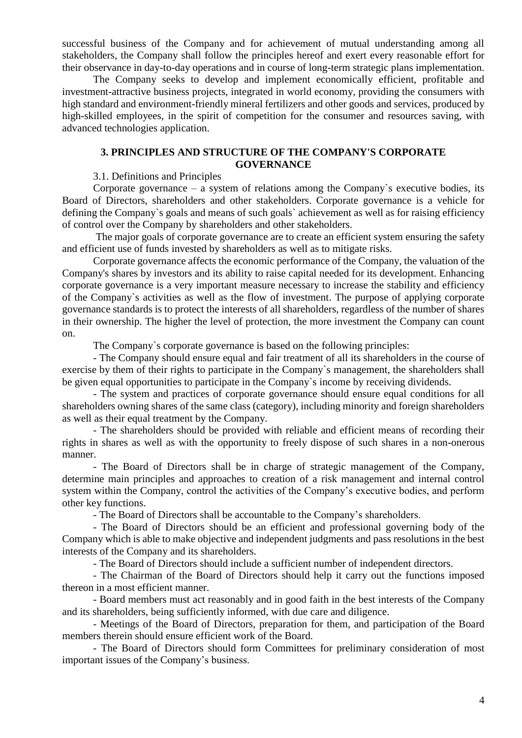successful business of the Company and for achievement of mutual understanding among all stakeholders, the Company shall follow the principles hereof and exert every reasonable effort for their observance in day-to-day operations and in course of long-term strategic plans implementation.

The Company seeks to develop and implement economically efficient, profitable and investment-attractive business projects, integrated in world economy, providing the consumers with high standard and environment-friendly mineral fertilizers and other goods and services, produced by high-skilled employees, in the spirit of competition for the consumer and resources saving, with advanced technologies application.

# **3. PRINCIPLES AND STRUCTURE OF THE COMPANY'S CORPORATE GOVERNANCE**

#### 3.1. Definitions and Principles

Corporate governance – a system of relations among the Company`s executive bodies, its Board of Directors, shareholders and other stakeholders. Corporate governance is a vehicle for defining the Company`s goals and means of such goals` achievement as well as for raising efficiency of control over the Company by shareholders and other stakeholders.

The major goals of corporate governance are to create an efficient system ensuring the safety and efficient use of funds invested by shareholders as well as to mitigate risks.

Corporate governance affects the economic performance of the Company, the valuation of the Company's shares by investors and its ability to raise capital needed for its development. Enhancing corporate governance is a very important measure necessary to increase the stability and efficiency of the Company`s activities as well as the flow of investment. The purpose of applying corporate governance standards is to protect the interests of all shareholders, regardless of the number of shares in their ownership. The higher the level of protection, the more investment the Company can count on.

The Company`s corporate governance is based on the following principles:

- The Company should ensure equal and fair treatment of all its shareholders in the course of exercise by them of their rights to participate in the Company`s management, the shareholders shall be given equal opportunities to participate in the Company`s income by receiving dividends.

- The system and practices of corporate governance should ensure equal conditions for all shareholders owning shares of the same class (category), including minority and foreign shareholders as well as their equal treatment by the Company.

- The shareholders should be provided with reliable and efficient means of recording their rights in shares as well as with the opportunity to freely dispose of such shares in a non-onerous manner.

- The Board of Directors shall be in charge of strategic management of the Company, determine main principles and approaches to creation of a risk management and internal control system within the Company, control the activities of the Company's executive bodies, and perform other key functions.

- The Board of Directors shall be accountable to the Company's shareholders.

- The Board of Directors should be an efficient and professional governing body of the Company which is able to make objective and independent judgments and pass resolutions in the best interests of the Company and its shareholders.

- The Board of Directors should include a sufficient number of independent directors.

- The Chairman of the Board of Directors should help it carry out the functions imposed thereon in a most efficient manner.

- Board members must act reasonably and in good faith in the best interests of the Company and its shareholders, being sufficiently informed, with due care and diligence.

- Meetings of the Board of Directors, preparation for them, and participation of the Board members therein should ensure efficient work of the Board.

- The Board of Directors should form Committees for preliminary consideration of most important issues of the Company's business.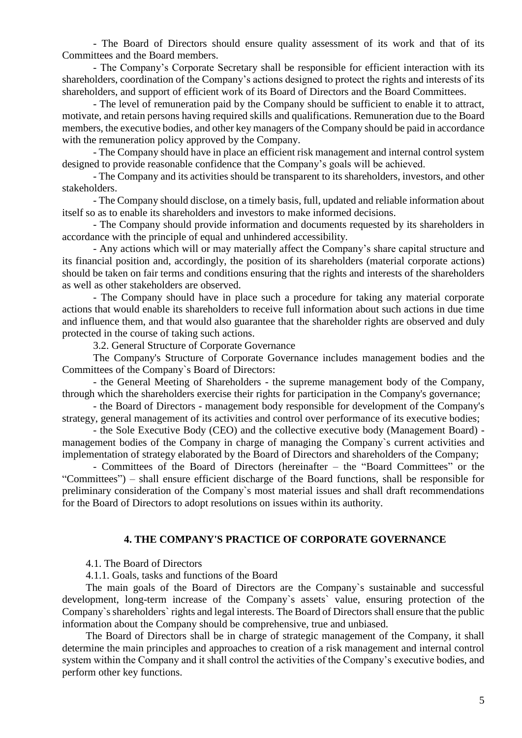- The Board of Directors should ensure quality assessment of its work and that of its Committees and the Board members.

- The Company's Corporate Secretary shall be responsible for efficient interaction with its shareholders, coordination of the Company's actions designed to protect the rights and interests of its shareholders, and support of efficient work of its Board of Directors and the Board Committees.

- The level of remuneration paid by the Company should be sufficient to enable it to attract, motivate, and retain persons having required skills and qualifications. Remuneration due to the Board members, the executive bodies, and other key managers of the Company should be paid in accordance with the remuneration policy approved by the Company.

- The Company should have in place an efficient risk management and internal control system designed to provide reasonable confidence that the Company's goals will be achieved.

- The Company and its activities should be transparent to its shareholders, investors, and other stakeholders.

- The Company should disclose, on a timely basis, full, updated and reliable information about itself so as to enable its shareholders and investors to make informed decisions.

- The Company should provide information and documents requested by its shareholders in accordance with the principle of equal and unhindered accessibility.

- Any actions which will or may materially affect the Company's share capital structure and its financial position and, accordingly, the position of its shareholders (material corporate actions) should be taken on fair terms and conditions ensuring that the rights and interests of the shareholders as well as other stakeholders are observed.

- The Company should have in place such a procedure for taking any material corporate actions that would enable its shareholders to receive full information about such actions in due time and influence them, and that would also guarantee that the shareholder rights are observed and duly protected in the course of taking such actions.

3.2. General Structure of Corporate Governance

The Company's Structure of Corporate Governance includes management bodies and the Committees of the Company`s Board of Directors:

- the General Meeting of Shareholders - the supreme management body of the Company, through which the shareholders exercise their rights for participation in the Company's governance;

- the Board of Directors - management body responsible for development of the Company's strategy, general management of its activities and control over performance of its executive bodies;

- the Sole Executive Body (CEO) and the collective executive body (Management Board) management bodies of the Company in charge of managing the Company`s current activities and implementation of strategy elaborated by the Board of Directors and shareholders of the Company;

- Committees of the Board of Directors (hereinafter – the "Board Committees" or the "Committees") – shall ensure efficient discharge of the Board functions, shall be responsible for preliminary consideration of the Company`s most material issues and shall draft recommendations for the Board of Directors to adopt resolutions on issues within its authority.

#### **4. THE COMPANY'S PRACTICE OF CORPORATE GOVERNANCE**

4.1. The Board of Directors

4.1.1. Goals, tasks and functions of the Board

The main goals of the Board of Directors are the Company`s sustainable and successful development, long-term increase of the Company`s assets` value, ensuring protection of the Company`s shareholders` rights and legal interests. The Board of Directors shall ensure that the public information about the Company should be comprehensive, true and unbiased.

The Board of Directors shall be in charge of strategic management of the Company, it shall determine the main principles and approaches to creation of a risk management and internal control system within the Company and it shall control the activities of the Company's executive bodies, and perform other key functions.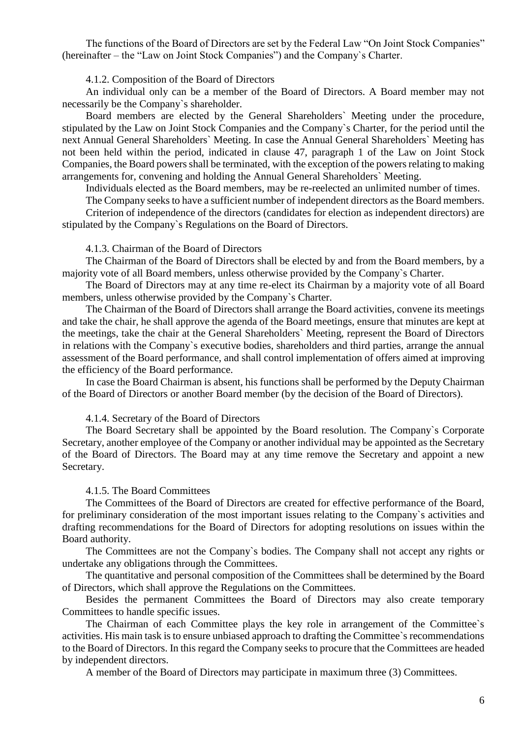The functions of the Board of Directors are set by the Federal Law "On Joint Stock Companies" (hereinafter – the "Law on Joint Stock Companies") and the Company`s Charter.

#### 4.1.2. Composition of the Board of Directors

An individual only can be a member of the Board of Directors. A Board member may not necessarily be the Company`s shareholder.

Board members are elected by the General Shareholders` Meeting under the procedure, stipulated by the Law on Joint Stock Companies and the Company`s Charter, for the period until the next Annual General Shareholders` Meeting. In case the Annual General Shareholders` Meeting has not been held within the period, indicated in clause 47, paragraph 1 of the Law on Joint Stock Companies, the Board powers shall be terminated, with the exception of the powers relating to making arrangements for, convening and holding the Annual General Shareholders` Meeting.

Individuals elected as the Board members, may be re-reelected an unlimited number of times.

The Company seeks to have a sufficient number of independent directors as the Board members. Criterion of independence of the directors (candidates for election as independent directors) are stipulated by the Company`s Regulations on the Board of Directors.

#### 4.1.3. Chairman of the Board of Directors

The Chairman of the Board of Directors shall be elected by and from the Board members, by a majority vote of all Board members, unless otherwise provided by the Company`s Charter.

The Board of Directors may at any time re-elect its Chairman by a majority vote of all Board members, unless otherwise provided by the Company`s Charter.

The Chairman of the Board of Directors shall arrange the Board activities, convene its meetings and take the chair, he shall approve the agenda of the Board meetings, ensure that minutes are kept at the meetings, take the chair at the General Shareholders` Meeting, represent the Board of Directors in relations with the Company`s executive bodies, shareholders and third parties, arrange the annual assessment of the Board performance, and shall control implementation of offers aimed at improving the efficiency of the Board performance.

In case the Board Chairman is absent, his functions shall be performed by the Deputy Chairman of the Board of Directors or another Board member (by the decision of the Board of Directors).

#### 4.1.4. Secretary of the Board of Directors

The Board Secretary shall be appointed by the Board resolution. The Company`s Corporate Secretary, another employee of the Company or another individual may be appointed as the Secretary of the Board of Directors. The Board may at any time remove the Secretary and appoint a new Secretary.

#### 4.1.5. The Board Committees

The Committees of the Board of Directors are created for effective performance of the Board, for preliminary consideration of the most important issues relating to the Company`s activities and drafting recommendations for the Board of Directors for adopting resolutions on issues within the Board authority.

The Committees are not the Company`s bodies. The Company shall not accept any rights or undertake any obligations through the Committees.

The quantitative and personal composition of the Committees shall be determined by the Board of Directors, which shall approve the Regulations on the Committees.

Besides the permanent Committees the Board of Directors may also create temporary Committees to handle specific issues.

The Chairman of each Committee plays the key role in arrangement of the Committee`s activities. His main task is to ensure unbiased approach to drafting the Committee`s recommendations to the Board of Directors. In this regard the Company seeks to procure that the Committees are headed by independent directors.

A member of the Board of Directors may participate in maximum three (3) Committees.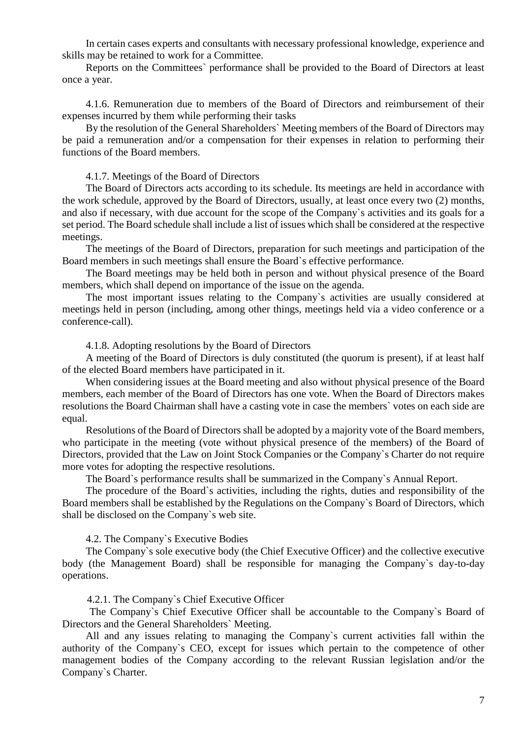In certain cases experts and consultants with necessary professional knowledge, experience and skills may be retained to work for a Committee.

Reports on the Committees` performance shall be provided to the Board of Directors at least once a year.

4.1.6. Remuneration due to members of the Board of Directors and reimbursement of their expenses incurred by them while performing their tasks

By the resolution of the General Shareholders` Meeting members of the Board of Directors may be paid a remuneration and/or a compensation for their expenses in relation to performing their functions of the Board members.

4.1.7. Meetings of the Board of Directors

The Board of Directors acts according to its schedule. Its meetings are held in accordance with the work schedule, approved by the Board of Directors, usually, at least once every two (2) months, and also if necessary, with due account for the scope of the Company`s activities and its goals for a set period. The Board schedule shall include a list of issues which shall be considered at the respective meetings.

The meetings of the Board of Directors, preparation for such meetings and participation of the Board members in such meetings shall ensure the Board`s effective performance.

The Board meetings may be held both in person and without physical presence of the Board members, which shall depend on importance of the issue on the agenda.

The most important issues relating to the Company`s activities are usually considered at meetings held in person (including, among other things, meetings held via a video conference or a conference-call).

4.1.8. Adopting resolutions by the Board of Directors

A meeting of the Board of Directors is duly constituted (the quorum is present), if at least half of the elected Board members have participated in it.

When considering issues at the Board meeting and also without physical presence of the Board members, each member of the Board of Directors has one vote. When the Board of Directors makes resolutions the Board Chairman shall have a casting vote in case the members` votes on each side are equal.

Resolutions of the Board of Directors shall be adopted by a majority vote of the Board members, who participate in the meeting (vote without physical presence of the members) of the Board of Directors, provided that the Law on Joint Stock Companies or the Company`s Charter do not require more votes for adopting the respective resolutions.

The Board`s performance results shall be summarized in the Company`s Annual Report.

The procedure of the Board`s activities, including the rights, duties and responsibility of the Board members shall be established by the Regulations on the Company`s Board of Directors, which shall be disclosed on the Company`s web site.

4.2. The Company`s Executive Bodies

The Company`s sole executive body (the Chief Executive Officer) and the collective executive body (the Management Board) shall be responsible for managing the Company`s day-to-day operations.

4.2.1. The Company`s Chief Executive Officer

The Company`s Chief Executive Officer shall be accountable to the Company`s Board of Directors and the General Shareholders` Meeting.

All and any issues relating to managing the Company`s current activities fall within the authority of the Company`s CEO, except for issues which pertain to the competence of other management bodies of the Company according to the relevant Russian legislation and/or the Company`s Charter.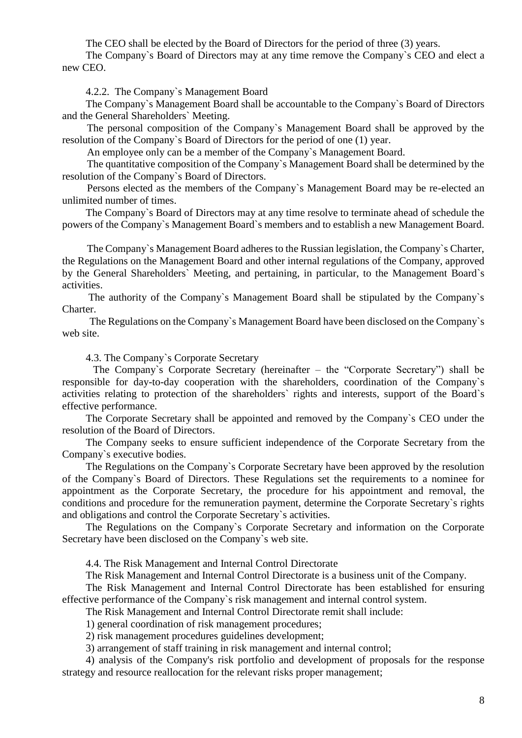The CEO shall be elected by the Board of Directors for the period of three (3) years.

The Company`s Board of Directors may at any time remove the Company`s CEO and elect a new CEO.

4.2.2. The Company`s Management Board

The Company`s Management Board shall be accountable to the Company`s Board of Directors and the General Shareholders` Meeting.

The personal composition of the Company`s Management Board shall be approved by the resolution of the Company`s Board of Directors for the period of one (1) year.

An employee only can be a member of the Company`s Management Board.

The quantitative composition of the Company`s Management Board shall be determined by the resolution of the Company`s Board of Directors.

Persons elected as the members of the Company`s Management Board may be re-elected an unlimited number of times.

The Company`s Board of Directors may at any time resolve to terminate ahead of schedule the powers of the Company`s Management Board`s members and to establish a new Management Board.

The Company`s Management Board adheres to the Russian legislation, the Company`s Charter, the Regulations on the Management Board and other internal regulations of the Company, approved by the General Shareholders` Meeting, and pertaining, in particular, to the Management Board`s activities.

The authority of the Company`s Management Board shall be stipulated by the Company`s Charter.

The Regulations on the Company`s Management Board have been disclosed on the Company`s web site.

4.3. The Company`s Corporate Secretary

The Company`s Corporate Secretary (hereinafter – the "Corporate Secretary") shall be responsible for day-to-day cooperation with the shareholders, coordination of the Company`s activities relating to protection of the shareholders` rights and interests, support of the Board`s effective performance.

The Corporate Secretary shall be appointed and removed by the Company`s CEO under the resolution of the Board of Directors.

The Company seeks to ensure sufficient independence of the Corporate Secretary from the Company`s executive bodies.

The Regulations on the Company`s Corporate Secretary have been approved by the resolution of the Company`s Board of Directors. These Regulations set the requirements to a nominee for appointment as the Corporate Secretary, the procedure for his appointment and removal, the conditions and procedure for the remuneration payment, determine the Corporate Secretary`s rights and obligations and control the Corporate Secretary`s activities.

The Regulations on the Company`s Corporate Secretary and information on the Corporate Secretary have been disclosed on the Company`s web site.

4.4. The Risk Management and Internal Control Directorate

The Risk Management and Internal Control Directorate is a business unit of the Company.

The Risk Management and Internal Control Directorate has been established for ensuring effective performance of the Company`s risk management and internal control system.

The Risk Management and Internal Control Directorate remit shall include:

1) general coordination of risk management procedures;

2) risk management procedures guidelines development;

3) arrangement of staff training in risk management and internal control;

4) analysis of the Company's risk portfolio and development of proposals for the response strategy and resource reallocation for the relevant risks proper management;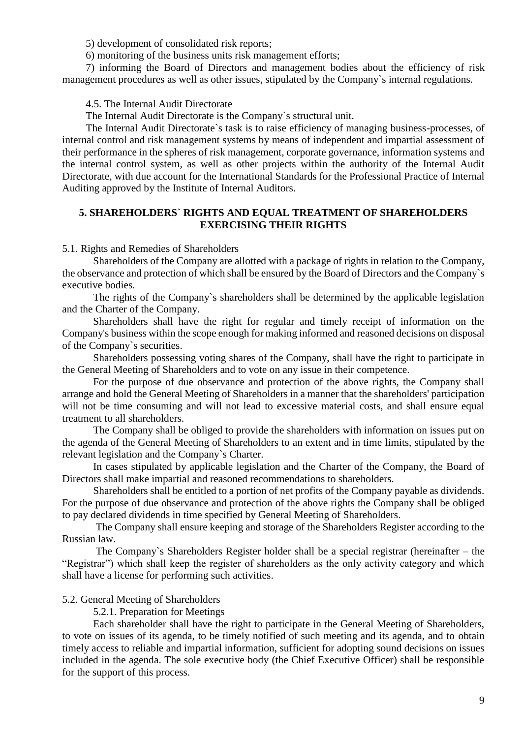5) development of consolidated risk reports;

6) monitoring of the business units risk management efforts;

7) informing the Board of Directors and management bodies about the efficiency of risk management procedures as well as other issues, stipulated by the Company`s internal regulations.

4.5. The Internal Audit Directorate

The Internal Audit Directorate is the Company`s structural unit.

The Internal Audit Directorate`s task is to raise efficiency of managing business-processes, of internal control and risk management systems by means of independent and impartial assessment of their performance in the spheres of risk management, corporate governance, information systems and the internal control system, as well as other projects within the authority of the Internal Audit Directorate, with due account for the International Standards for the Professional Practice of Internal Auditing approved by the Institute of Internal Auditors.

# **5. SHAREHOLDERS` RIGHTS AND EQUAL TREATMENT OF SHAREHOLDERS EXERCISING THEIR RIGHTS**

5.1. Rights and Remedies of Shareholders

Shareholders of the Company are allotted with a package of rights in relation to the Company, the observance and protection of which shall be ensured by the Board of Directors and the Company`s executive bodies.

The rights of the Company`s shareholders shall be determined by the applicable legislation and the Charter of the Company.

Shareholders shall have the right for regular and timely receipt of information on the Company's business within the scope enough for making informed and reasoned decisions on disposal of the Company`s securities.

Shareholders possessing voting shares of the Company, shall have the right to participate in the General Meeting of Shareholders and to vote on any issue in their competence.

For the purpose of due observance and protection of the above rights, the Company shall arrange and hold the General Meeting of Shareholders in a manner that the shareholders' participation will not be time consuming and will not lead to excessive material costs, and shall ensure equal treatment to all shareholders.

The Company shall be obliged to provide the shareholders with information on issues put on the agenda of the General Meeting of Shareholders to an extent and in time limits, stipulated by the relevant legislation and the Company`s Charter.

In cases stipulated by applicable legislation and the Charter of the Company, the Board of Directors shall make impartial and reasoned recommendations to shareholders.

Shareholders shall be entitled to a portion of net profits of the Company payable as dividends. For the purpose of due observance and protection of the above rights the Company shall be obliged to pay declared dividends in time specified by General Meeting of Shareholders.

The Company shall ensure keeping and storage of the Shareholders Register according to the Russian law.

The Company`s Shareholders Register holder shall be a special registrar (hereinafter – the "Registrar") which shall keep the register of shareholders as the only activity category and which shall have a license for performing such activities.

5.2. General Meeting of Shareholders

5.2.1. Preparation for Meetings

Each shareholder shall have the right to participate in the General Meeting of Shareholders, to vote on issues of its agenda, to be timely notified of such meeting and its agenda, and to obtain timely access to reliable and impartial information, sufficient for adopting sound decisions on issues included in the agenda. The sole executive body (the Chief Executive Officer) shall be responsible for the support of this process.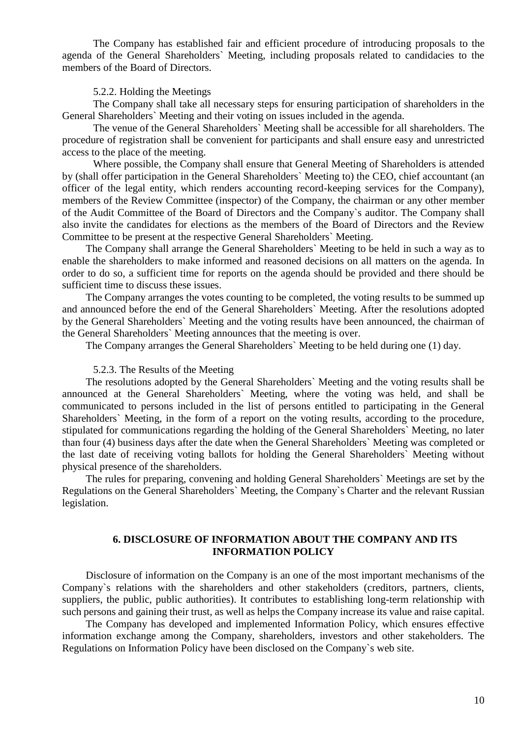The Company has established fair and efficient procedure of introducing proposals to the agenda of the General Shareholders` Meeting, including proposals related to candidacies to the members of the Board of Directors.

## 5.2.2. Holding the Meetings

The Company shall take all necessary steps for ensuring participation of shareholders in the General Shareholders` Meeting and their voting on issues included in the agenda.

The venue of the General Shareholders` Meeting shall be accessible for all shareholders. The procedure of registration shall be convenient for participants and shall ensure easy and unrestricted access to the place of the meeting.

Where possible, the Company shall ensure that General Meeting of Shareholders is attended by (shall offer participation in the General Shareholders` Meeting to) the CEO, chief accountant (an officer of the legal entity, which renders accounting record-keeping services for the Company), members of the Review Committee (inspector) of the Company, the chairman or any other member of the Audit Committee of the Board of Directors and the Company`s auditor. The Company shall also invite the candidates for elections as the members of the Board of Directors and the Review Committee to be present at the respective General Shareholders` Meeting.

The Company shall arrange the General Shareholders` Meeting to be held in such a way as to enable the shareholders to make informed and reasoned decisions on all matters on the agenda. In order to do so, a sufficient time for reports on the agenda should be provided and there should be sufficient time to discuss these issues.

The Company arranges the votes counting to be completed, the voting results to be summed up and announced before the end of the General Shareholders` Meeting. After the resolutions adopted by the General Shareholders` Meeting and the voting results have been announced, the chairman of the General Shareholders` Meeting announces that the meeting is over.

The Company arranges the General Shareholders` Meeting to be held during one (1) day.

#### 5.2.3. The Results of the Meeting

The resolutions adopted by the General Shareholders` Meeting and the voting results shall be announced at the General Shareholders` Meeting, where the voting was held, and shall be communicated to persons included in the list of persons entitled to participating in the General Shareholders` Meeting, in the form of a report on the voting results, according to the procedure, stipulated for communications regarding the holding of the General Shareholders` Meeting, no later than four (4) business days after the date when the General Shareholders` Meeting was completed or the last date of receiving voting ballots for holding the General Shareholders` Meeting without physical presence of the shareholders.

The rules for preparing, convening and holding General Shareholders` Meetings are set by the Regulations on the General Shareholders` Meeting, the Company`s Charter and the relevant Russian legislation.

# **6. DISCLOSURE OF INFORMATION ABOUT THE COMPANY AND ITS INFORMATION POLICY**

Disclosure of information on the Company is an one of the most important mechanisms of the Company`s relations with the shareholders and other stakeholders (creditors, partners, clients, suppliers, the public, public authorities). It contributes to establishing long-term relationship with such persons and gaining their trust, as well as helps the Company increase its value and raise capital.

The Company has developed and implemented Information Policy, which ensures effective information exchange among the Company, shareholders, investors and other stakeholders. The Regulations on Information Policy have been disclosed on the Company`s web site.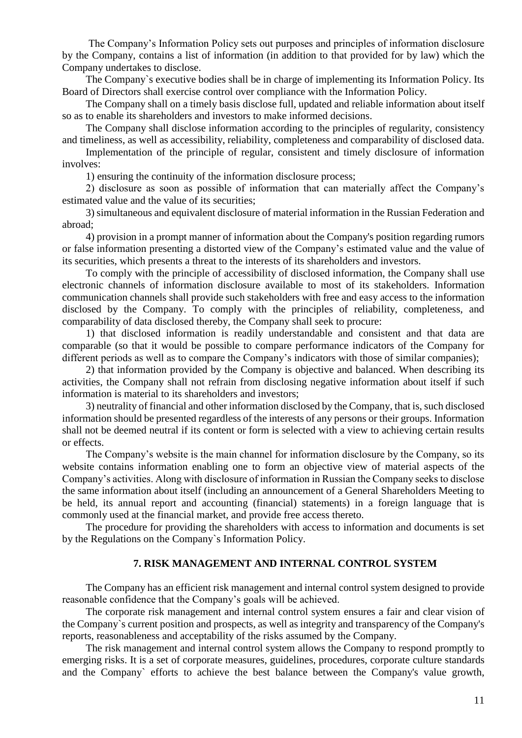The Company's Information Policy sets out purposes and principles of information disclosure by the Company, contains a list of information (in addition to that provided for by law) which the Company undertakes to disclose.

The Company`s executive bodies shall be in charge of implementing its Information Policy. Its Board of Directors shall exercise control over compliance with the Information Policy.

The Company shall on a timely basis disclose full, updated and reliable information about itself so as to enable its shareholders and investors to make informed decisions.

The Company shall disclose information according to the principles of regularity, consistency and timeliness, as well as accessibility, reliability, completeness and comparability of disclosed data.

Implementation of the principle of regular, consistent and timely disclosure of information involves:

1) ensuring the continuity of the information disclosure process;

2) disclosure as soon as possible of information that can materially affect the Company's estimated value and the value of its securities;

3) simultaneous and equivalent disclosure of material information in the Russian Federation and abroad;

4) provision in a prompt manner of information about the Company's position regarding rumors or false information presenting a distorted view of the Company's estimated value and the value of its securities, which presents a threat to the interests of its shareholders and investors.

To comply with the principle of accessibility of disclosed information, the Company shall use electronic channels of information disclosure available to most of its stakeholders. Information communication channels shall provide such stakeholders with free and easy access to the information disclosed by the Company. To comply with the principles of reliability, completeness, and comparability of data disclosed thereby, the Company shall seek to procure:

1) that disclosed information is readily understandable and consistent and that data are comparable (so that it would be possible to compare performance indicators of the Company for different periods as well as to compare the Company's indicators with those of similar companies);

2) that information provided by the Company is objective and balanced. When describing its activities, the Company shall not refrain from disclosing negative information about itself if such information is material to its shareholders and investors;

3) neutrality of financial and other information disclosed by the Company, that is, such disclosed information should be presented regardless of the interests of any persons or their groups. Information shall not be deemed neutral if its content or form is selected with a view to achieving certain results or effects.

The Company's website is the main channel for information disclosure by the Company, so its website contains information enabling one to form an objective view of material aspects of the Company's activities. Along with disclosure of information in Russian the Company seeks to disclose the same information about itself (including an announcement of a General Shareholders Meeting to be held, its annual report and accounting (financial) statements) in a foreign language that is commonly used at the financial market, and provide free access thereto.

The procedure for providing the shareholders with access to information and documents is set by the Regulations on the Company`s Information Policy.

## **7. RISK MANAGEMENT AND INTERNAL CONTROL SYSTEM**

The Company has an efficient risk management and internal control system designed to provide reasonable confidence that the Company's goals will be achieved.

The corporate risk management and internal control system ensures a fair and clear vision of the Company`s current position and prospects, as well as integrity and transparency of the Company's reports, reasonableness and acceptability of the risks assumed by the Company.

The risk management and internal control system allows the Company to respond promptly to emerging risks. It is a set of corporate measures, guidelines, procedures, corporate culture standards and the Company` efforts to achieve the best balance between the Company's value growth,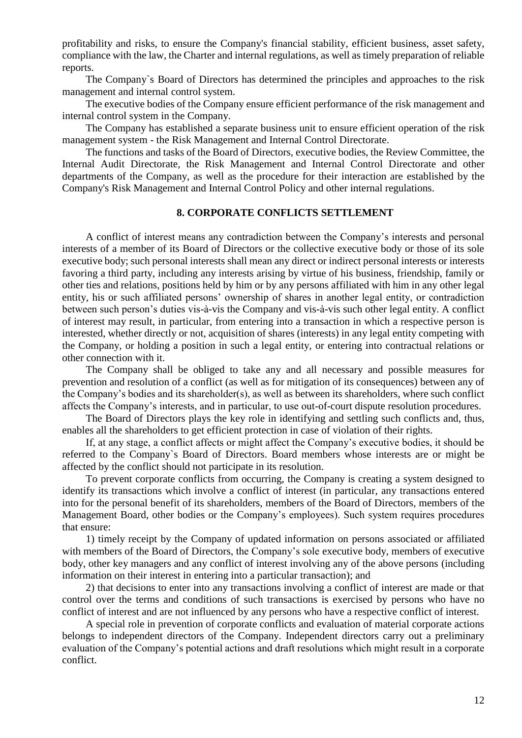profitability and risks, to ensure the Company's financial stability, efficient business, asset safety, compliance with the law, the Charter and internal regulations, as well as timely preparation of reliable reports.

The Company`s Board of Directors has determined the principles and approaches to the risk management and internal control system.

The executive bodies of the Company ensure efficient performance of the risk management and internal control system in the Company.

The Company has established a separate business unit to ensure efficient operation of the risk management system - the Risk Management and Internal Control Directorate.

The functions and tasks of the Board of Directors, executive bodies, the Review Committee, the Internal Audit Directorate, the Risk Management and Internal Control Directorate and other departments of the Company, as well as the procedure for their interaction are established by the Company's Risk Management and Internal Control Policy and other internal regulations.

# **8. CORPORATE CONFLICTS SETTLEMENT**

A conflict of interest means any contradiction between the Company's interests and personal interests of a member of its Board of Directors or the collective executive body or those of its sole executive body; such personal interests shall mean any direct or indirect personal interests or interests favoring a third party, including any interests arising by virtue of his business, friendship, family or other ties and relations, positions held by him or by any persons affiliated with him in any other legal entity, his or such affiliated persons' ownership of shares in another legal entity, or contradiction between such person's duties vis-à-vis the Company and vis-à-vis such other legal entity. A conflict of interest may result, in particular, from entering into a transaction in which a respective person is interested, whether directly or not, acquisition of shares (interests) in any legal entity competing with the Company, or holding a position in such a legal entity, or entering into contractual relations or other connection with it.

The Company shall be obliged to take any and all necessary and possible measures for prevention and resolution of a conflict (as well as for mitigation of its consequences) between any of the Company's bodies and its shareholder(s), as well as between its shareholders, where such conflict affects the Company's interests, and in particular, to use out-of-court dispute resolution procedures.

The Board of Directors plays the key role in identifying and settling such conflicts and, thus, enables all the shareholders to get efficient protection in case of violation of their rights.

If, at any stage, a conflict affects or might affect the Company's executive bodies, it should be referred to the Company`s Board of Directors. Board members whose interests are or might be affected by the conflict should not participate in its resolution.

To prevent corporate conflicts from occurring, the Company is creating a system designed to identify its transactions which involve a conflict of interest (in particular, any transactions entered into for the personal benefit of its shareholders, members of the Board of Directors, members of the Management Board, other bodies or the Company's employees). Such system requires procedures that ensure:

1) timely receipt by the Company of updated information on persons associated or affiliated with members of the Board of Directors, the Company's sole executive body, members of executive body, other key managers and any conflict of interest involving any of the above persons (including information on their interest in entering into a particular transaction); and

2) that decisions to enter into any transactions involving a conflict of interest are made or that control over the terms and conditions of such transactions is exercised by persons who have no conflict of interest and are not influenced by any persons who have a respective conflict of interest.

A special role in prevention of corporate conflicts and evaluation of material corporate actions belongs to independent directors of the Company. Independent directors carry out a preliminary evaluation of the Company's potential actions and draft resolutions which might result in a corporate conflict.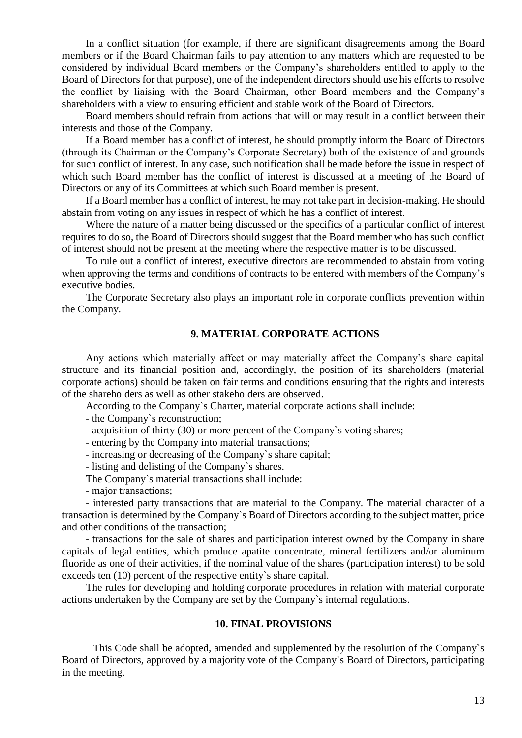In a conflict situation (for example, if there are significant disagreements among the Board members or if the Board Chairman fails to pay attention to any matters which are requested to be considered by individual Board members or the Company's shareholders entitled to apply to the Board of Directors for that purpose), one of the independent directors should use his efforts to resolve the conflict by liaising with the Board Chairman, other Board members and the Company's shareholders with a view to ensuring efficient and stable work of the Board of Directors.

Board members should refrain from actions that will or may result in a conflict between their interests and those of the Company.

If a Board member has a conflict of interest, he should promptly inform the Board of Directors (through its Chairman or the Company's Corporate Secretary) both of the existence of and grounds for such conflict of interest. In any case, such notification shall be made before the issue in respect of which such Board member has the conflict of interest is discussed at a meeting of the Board of Directors or any of its Committees at which such Board member is present.

If a Board member has a conflict of interest, he may not take part in decision-making. He should abstain from voting on any issues in respect of which he has a conflict of interest.

Where the nature of a matter being discussed or the specifics of a particular conflict of interest requires to do so, the Board of Directors should suggest that the Board member who has such conflict of interest should not be present at the meeting where the respective matter is to be discussed.

To rule out a conflict of interest, executive directors are recommended to abstain from voting when approving the terms and conditions of contracts to be entered with members of the Company's executive bodies.

The Corporate Secretary also plays an important role in corporate conflicts prevention within the Company.

# **9. MATERIAL CORPORATE ACTIONS**

Any actions which materially affect or may materially affect the Company's share capital structure and its financial position and, accordingly, the position of its shareholders (material corporate actions) should be taken on fair terms and conditions ensuring that the rights and interests of the shareholders as well as other stakeholders are observed.

According to the Company`s Charter, material corporate actions shall include:

- the Company`s reconstruction;

- acquisition of thirty (30) or more percent of the Company`s voting shares;

- entering by the Company into material transactions;

- increasing or decreasing of the Company`s share capital;

- listing and delisting of the Company`s shares.

The Company`s material transactions shall include:

- major transactions;

- interested party transactions that are material to the Company. The material character of a transaction is determined by the Company`s Board of Directors according to the subject matter, price and other conditions of the transaction;

- transactions for the sale of shares and participation interest owned by the Company in share capitals of legal entities, which produce apatite concentrate, mineral fertilizers and/or aluminum fluoride as one of their activities, if the nominal value of the shares (participation interest) to be sold exceeds ten (10) percent of the respective entity`s share capital.

The rules for developing and holding corporate procedures in relation with material corporate actions undertaken by the Company are set by the Company`s internal regulations.

#### **10. FINAL PROVISIONS**

This Code shall be adopted, amended and supplemented by the resolution of the Company`s Board of Directors, approved by a majority vote of the Company`s Board of Directors, participating in the meeting.